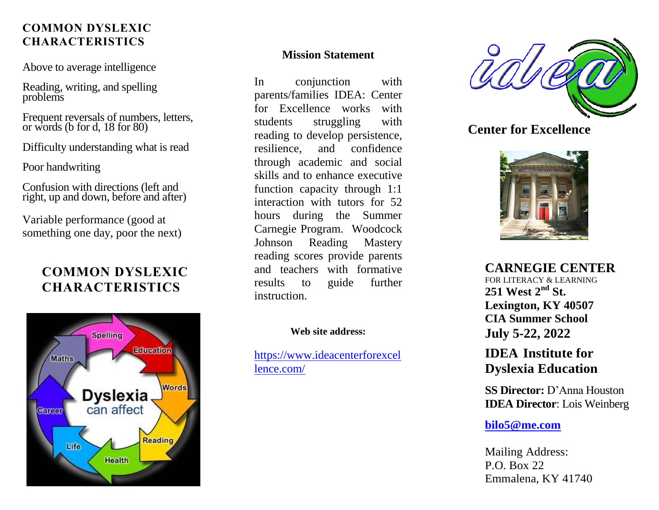### **COMMON DYSLEXIC CHARACTERISTICS**

Above to average intelligence

Reading, writing, and spelling problems

Frequent reversals of numbers, letters, or words (b for d, 18 for 80)

Difficulty understanding what is read

Poor handwriting

Confusion with directions (left and right, up and down, before and after)

Variable performance (good at something one day, poor the next)

# **COMMON DYSLEXIC CHARACTERISTICS**



#### **Mission Statement**

In conjunction with parents/families IDEA: Center for Excellence works with students struggling with reading to develop persistence, resilience, and confidence through academic and social skills and to enhance executive function capacity through 1:1 interaction with tutors for 52 hours during the Summer Carnegie Program. Woodcock Johnson Reading Mastery reading scores provide parents and teachers with formative results to guide further instruction.

#### **Web site address:**

[https://www.ideacenterforexcel](https://www.ideacenterforexcellence.com/) [lence.com/](https://www.ideacenterforexcellence.com/)



### **Center for Excellence**



**CARNEGIE CENTER** FOR LITERACY & LEARNING **251 West 2nd St. Lexington, KY 40507 CIA Summer School July 5-22, 2022**

# **IDEA Institute for Dyslexia Education**

**SS Director:** D'Anna Houston **IDEA Director**: Lois Weinberg

#### **[bilo5@me.com](mailto:bilo5@me.com)**

Mailing Address: P.O. Box 22 Emmalena, KY 41740